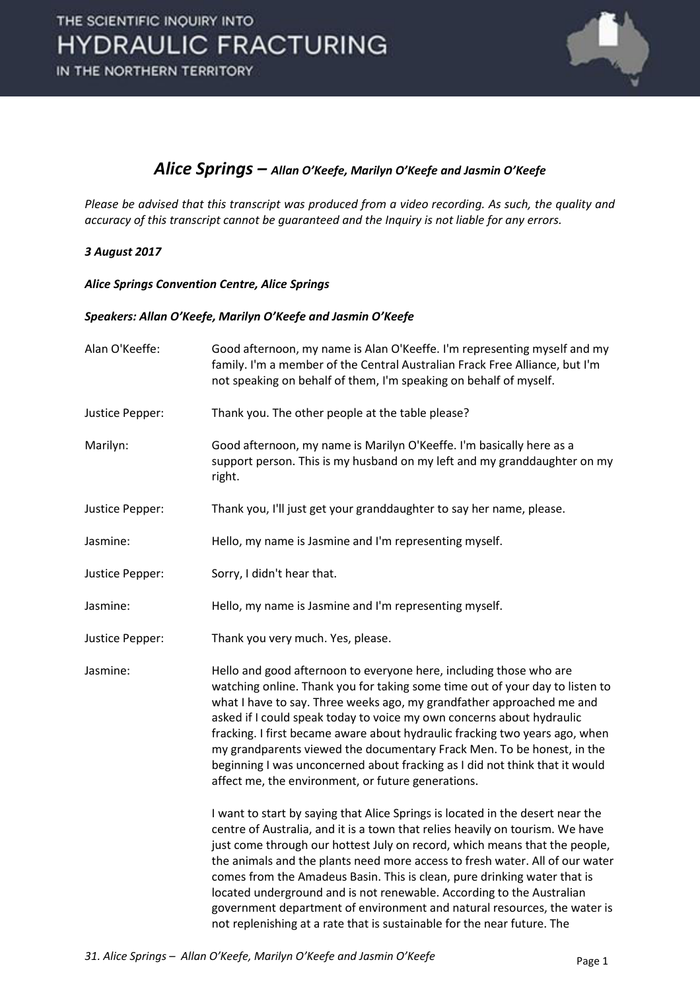

## *Alice Springs – Allan O'Keefe, Marilyn O'Keefe and Jasmin O'Keefe*

*Please be advised that this transcript was produced from a video recording. As such, the quality and accuracy of this transcript cannot be guaranteed and the Inquiry is not liable for any errors.* 

## *3 August 2017*

*Alice Springs Convention Centre, Alice Springs* 

### *Speakers: Allan O'Keefe, Marilyn O'Keefe and Jasmin O'Keefe*

| Alan O'Keeffe:  | Good afternoon, my name is Alan O'Keeffe. I'm representing myself and my<br>family. I'm a member of the Central Australian Frack Free Alliance, but I'm<br>not speaking on behalf of them, I'm speaking on behalf of myself.                                                                                                                                                                                                                                                                                                                                                                                                              |
|-----------------|-------------------------------------------------------------------------------------------------------------------------------------------------------------------------------------------------------------------------------------------------------------------------------------------------------------------------------------------------------------------------------------------------------------------------------------------------------------------------------------------------------------------------------------------------------------------------------------------------------------------------------------------|
| Justice Pepper: | Thank you. The other people at the table please?                                                                                                                                                                                                                                                                                                                                                                                                                                                                                                                                                                                          |
| Marilyn:        | Good afternoon, my name is Marilyn O'Keeffe. I'm basically here as a<br>support person. This is my husband on my left and my granddaughter on my<br>right.                                                                                                                                                                                                                                                                                                                                                                                                                                                                                |
| Justice Pepper: | Thank you, I'll just get your granddaughter to say her name, please.                                                                                                                                                                                                                                                                                                                                                                                                                                                                                                                                                                      |
| Jasmine:        | Hello, my name is Jasmine and I'm representing myself.                                                                                                                                                                                                                                                                                                                                                                                                                                                                                                                                                                                    |
| Justice Pepper: | Sorry, I didn't hear that.                                                                                                                                                                                                                                                                                                                                                                                                                                                                                                                                                                                                                |
| Jasmine:        | Hello, my name is Jasmine and I'm representing myself.                                                                                                                                                                                                                                                                                                                                                                                                                                                                                                                                                                                    |
| Justice Pepper: | Thank you very much. Yes, please.                                                                                                                                                                                                                                                                                                                                                                                                                                                                                                                                                                                                         |
| Jasmine:        | Hello and good afternoon to everyone here, including those who are<br>watching online. Thank you for taking some time out of your day to listen to<br>what I have to say. Three weeks ago, my grandfather approached me and<br>asked if I could speak today to voice my own concerns about hydraulic<br>fracking. I first became aware about hydraulic fracking two years ago, when<br>my grandparents viewed the documentary Frack Men. To be honest, in the<br>beginning I was unconcerned about fracking as I did not think that it would<br>affect me, the environment, or future generations.                                        |
|                 | I want to start by saying that Alice Springs is located in the desert near the<br>centre of Australia, and it is a town that relies heavily on tourism. We have<br>just come through our hottest July on record, which means that the people,<br>the animals and the plants need more access to fresh water. All of our water<br>comes from the Amadeus Basin. This is clean, pure drinking water that is<br>located underground and is not renewable. According to the Australian<br>government department of environment and natural resources, the water is<br>not replenishing at a rate that is sustainable for the near future. The |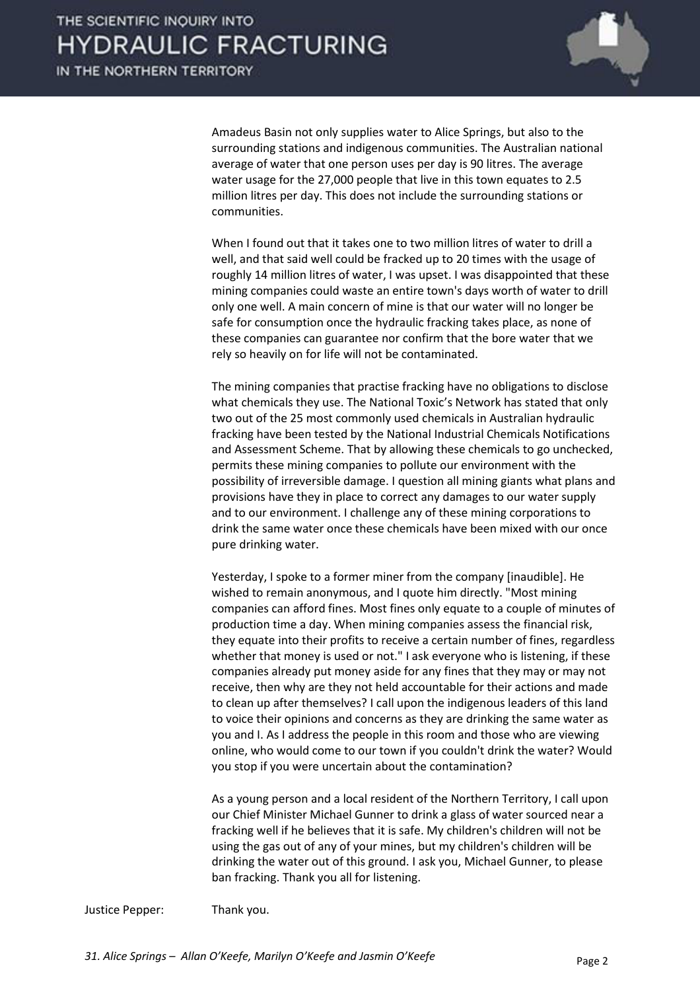

Amadeus Basin not only supplies water to Alice Springs, but also to the surrounding stations and indigenous communities. The Australian national average of water that one person uses per day is 90 litres. The average water usage for the 27,000 people that live in this town equates to 2.5 million litres per day. This does not include the surrounding stations or communities.

When I found out that it takes one to two million litres of water to drill a well, and that said well could be fracked up to 20 times with the usage of roughly 14 million litres of water, I was upset. I was disappointed that these mining companies could waste an entire town's days worth of water to drill only one well. A main concern of mine is that our water will no longer be safe for consumption once the hydraulic fracking takes place, as none of these companies can guarantee nor confirm that the bore water that we rely so heavily on for life will not be contaminated.

 The mining companies that practise fracking have no obligations to disclose what chemicals they use. The National Toxic's Network has stated that only two out of the 25 most commonly used chemicals in Australian hydraulic fracking have been tested by the National Industrial Chemicals Notifications and Assessment Scheme. That by allowing these chemicals to go unchecked, permits these mining companies to pollute our environment with the possibility of irreversible damage. I question all mining giants what plans and provisions have they in place to correct any damages to our water supply and to our environment. I challenge any of these mining corporations to drink the same water once these chemicals have been mixed with our once pure drinking water.

 Yesterday, I spoke to a former miner from the company [inaudible]. He wished to remain anonymous, and I quote him directly. "Most mining companies can afford fines. Most fines only equate to a couple of minutes of production time a day. When mining companies assess the financial risk, they equate into their profits to receive a certain number of fines, regardless whether that money is used or not." I ask everyone who is listening, if these companies already put money aside for any fines that they may or may not receive, then why are they not held accountable for their actions and made to clean up after themselves? I call upon the indigenous leaders of this land to voice their opinions and concerns as they are drinking the same water as you and I. As I address the people in this room and those who are viewing online, who would come to our town if you couldn't drink the water? Would you stop if you were uncertain about the contamination?

 As a young person and a local resident of the Northern Territory, I call upon our Chief Minister Michael Gunner to drink a glass of water sourced near a fracking well if he believes that it is safe. My children's children will not be using the gas out of any of your mines, but my children's children will be drinking the water out of this ground. I ask you, Michael Gunner, to please ban fracking. Thank you all for listening.

Justice Pepper: Thank you.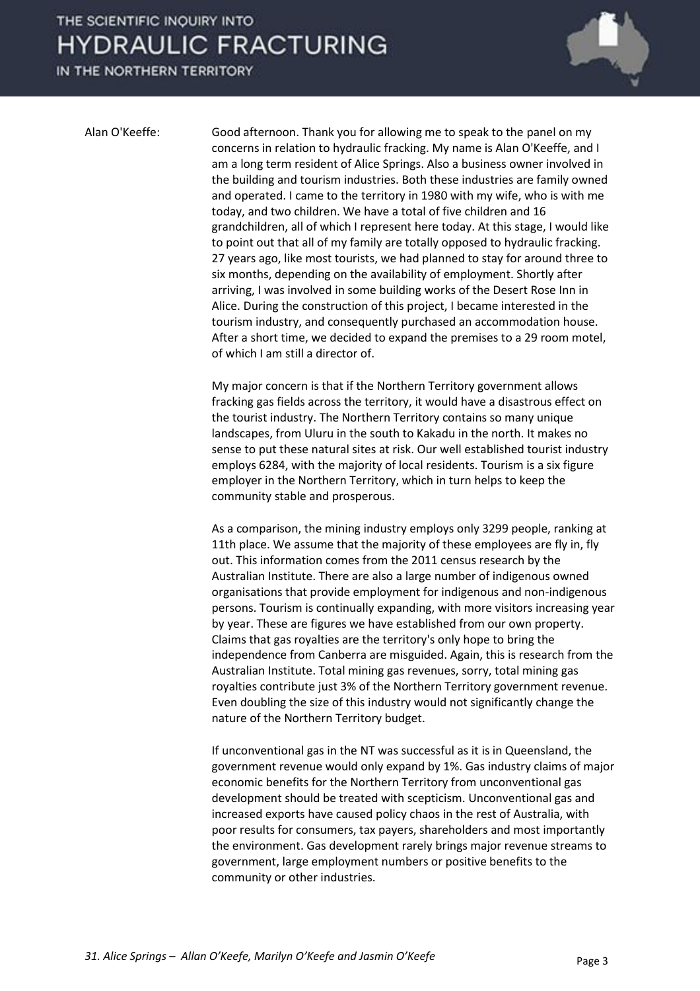## THE SCIENTIFIC INQUIRY INTO **HYDRAULIC FRACTURING**

IN THE NORTHERN TERRITORY



Alan O'Keeffe: Good afternoon. Thank you for allowing me to speak to the panel on my concerns in relation to hydraulic fracking. My name is Alan O'Keeffe, and I am a long term resident of Alice Springs. Also a business owner involved in the building and tourism industries. Both these industries are family owned and operated. I came to the territory in 1980 with my wife, who is with me today, and two children. We have a total of five children and 16 grandchildren, all of which I represent here today. At this stage, I would like to point out that all of my family are totally opposed to hydraulic fracking. 27 years ago, like most tourists, we had planned to stay for around three to six months, depending on the availability of employment. Shortly after arriving, I was involved in some building works of the Desert Rose Inn in Alice. During the construction of this project, I became interested in the tourism industry, and consequently purchased an accommodation house. After a short time, we decided to expand the premises to a 29 room motel, of which I am still a director of.

> My major concern is that if the Northern Territory government allows fracking gas fields across the territory, it would have a disastrous effect on the tourist industry. The Northern Territory contains so many unique landscapes, from Uluru in the south to Kakadu in the north. It makes no sense to put these natural sites at risk. Our well established tourist industry employs 6284, with the majority of local residents. Tourism is a six figure employer in the Northern Territory, which in turn helps to keep the community stable and prosperous.

 As a comparison, the mining industry employs only 3299 people, ranking at 11th place. We assume that the majority of these employees are fly in, fly out. This information comes from the 2011 census research by the Australian Institute. There are also a large number of indigenous owned organisations that provide employment for indigenous and non-indigenous persons. Tourism is continually expanding, with more visitors increasing year by year. These are figures we have established from our own property. Claims that gas royalties are the territory's only hope to bring the independence from Canberra are misguided. Again, this is research from the Australian Institute. Total mining gas revenues, sorry, total mining gas royalties contribute just 3% of the Northern Territory government revenue. Even doubling the size of this industry would not significantly change the nature of the Northern Territory budget.

 If unconventional gas in the NT was successful as it is in Queensland, the government revenue would only expand by 1%. Gas industry claims of major economic benefits for the Northern Territory from unconventional gas development should be treated with scepticism. Unconventional gas and increased exports have caused policy chaos in the rest of Australia, with poor results for consumers, tax payers, shareholders and most importantly the environment. Gas development rarely brings major revenue streams to government, large employment numbers or positive benefits to the community or other industries.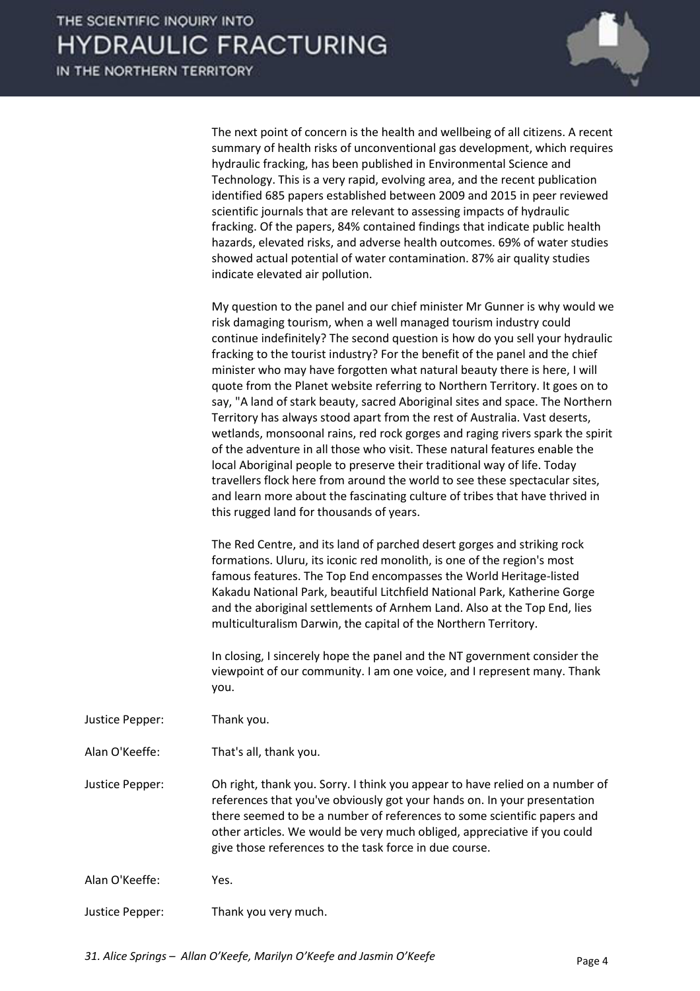

 The next point of concern is the health and wellbeing of all citizens. A recent summary of health risks of unconventional gas development, which requires hydraulic fracking, has been published in Environmental Science and Technology. This is a very rapid, evolving area, and the recent publication identified 685 papers established between 2009 and 2015 in peer reviewed scientific journals that are relevant to assessing impacts of hydraulic fracking. Of the papers, 84% contained findings that indicate public health hazards, elevated risks, and adverse health outcomes. 69% of water studies showed actual potential of water contamination. 87% air quality studies indicate elevated air pollution.

 My question to the panel and our chief minister Mr Gunner is why would we risk damaging tourism, when a well managed tourism industry could continue indefinitely? The second question is how do you sell your hydraulic fracking to the tourist industry? For the benefit of the panel and the chief minister who may have forgotten what natural beauty there is here, I will quote from the Planet website referring to Northern Territory. It goes on to say, "A land of stark beauty, sacred Aboriginal sites and space. The Northern Territory has always stood apart from the rest of Australia. Vast deserts, wetlands, monsoonal rains, red rock gorges and raging rivers spark the spirit of the adventure in all those who visit. These natural features enable the local Aboriginal people to preserve their traditional way of life. Today travellers flock here from around the world to see these spectacular sites, and learn more about the fascinating culture of tribes that have thrived in this rugged land for thousands of years.

 The Red Centre, and its land of parched desert gorges and striking rock formations. Uluru, its iconic red monolith, is one of the region's most famous features. The Top End encompasses the World Heritage-listed Kakadu National Park, beautiful Litchfield National Park, Katherine Gorge and the aboriginal settlements of Arnhem Land. Also at the Top End, lies multiculturalism Darwin, the capital of the Northern Territory.

 In closing, I sincerely hope the panel and the NT government consider the viewpoint of our community. I am one voice, and I represent many. Thank you.

- Justice Pepper: Thank you.
- Alan O'Keeffe: That's all, thank you.

Justice Pepper: Oh right, thank you. Sorry. I think you appear to have relied on a number of references that you've obviously got your hands on. In your presentation there seemed to be a number of references to some scientific papers and other articles. We would be very much obliged, appreciative if you could give those references to the task force in due course.

- Alan O'Keeffe: Yes.
- Justice Pepper: Thank you very much.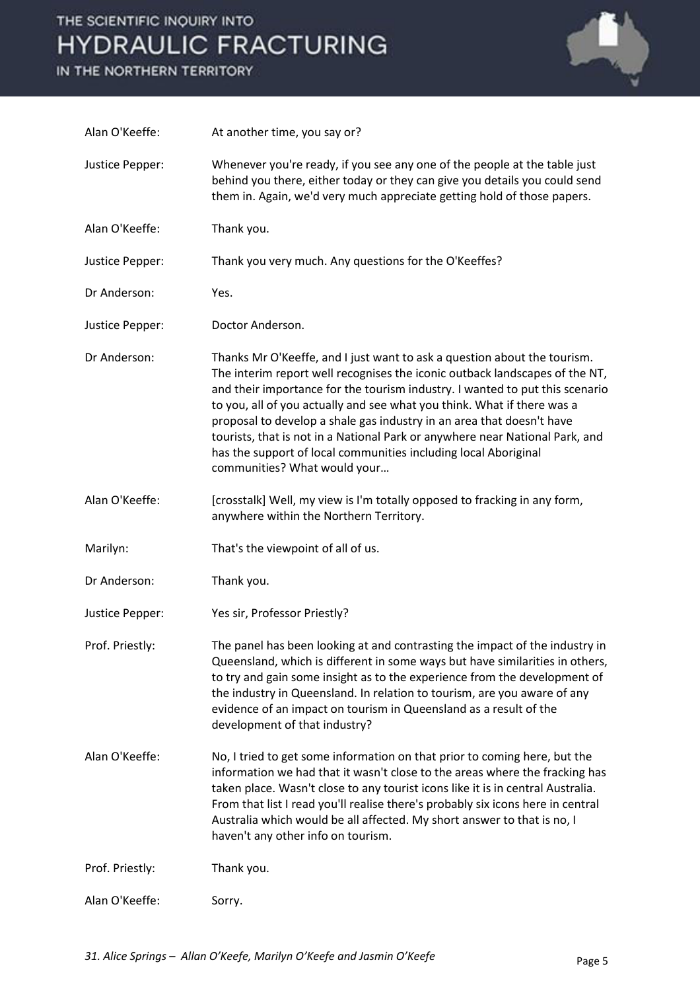# THE SCIENTIFIC INQUIRY INTO **HYDRAULIC FRACTURING**

IN THE NORTHERN TERRITORY



| Alan O'Keeffe:  | At another time, you say or?                                                                                                                                                                                                                                                                                                                                                                                                                                                                                                                                                   |
|-----------------|--------------------------------------------------------------------------------------------------------------------------------------------------------------------------------------------------------------------------------------------------------------------------------------------------------------------------------------------------------------------------------------------------------------------------------------------------------------------------------------------------------------------------------------------------------------------------------|
| Justice Pepper: | Whenever you're ready, if you see any one of the people at the table just<br>behind you there, either today or they can give you details you could send<br>them in. Again, we'd very much appreciate getting hold of those papers.                                                                                                                                                                                                                                                                                                                                             |
| Alan O'Keeffe:  | Thank you.                                                                                                                                                                                                                                                                                                                                                                                                                                                                                                                                                                     |
| Justice Pepper: | Thank you very much. Any questions for the O'Keeffes?                                                                                                                                                                                                                                                                                                                                                                                                                                                                                                                          |
| Dr Anderson:    | Yes.                                                                                                                                                                                                                                                                                                                                                                                                                                                                                                                                                                           |
| Justice Pepper: | Doctor Anderson.                                                                                                                                                                                                                                                                                                                                                                                                                                                                                                                                                               |
| Dr Anderson:    | Thanks Mr O'Keeffe, and I just want to ask a question about the tourism.<br>The interim report well recognises the iconic outback landscapes of the NT,<br>and their importance for the tourism industry. I wanted to put this scenario<br>to you, all of you actually and see what you think. What if there was a<br>proposal to develop a shale gas industry in an area that doesn't have<br>tourists, that is not in a National Park or anywhere near National Park, and<br>has the support of local communities including local Aboriginal<br>communities? What would your |
| Alan O'Keeffe:  | [crosstalk] Well, my view is I'm totally opposed to fracking in any form,<br>anywhere within the Northern Territory.                                                                                                                                                                                                                                                                                                                                                                                                                                                           |
| Marilyn:        | That's the viewpoint of all of us.                                                                                                                                                                                                                                                                                                                                                                                                                                                                                                                                             |
| Dr Anderson:    | Thank you.                                                                                                                                                                                                                                                                                                                                                                                                                                                                                                                                                                     |
| Justice Pepper: | Yes sir, Professor Priestly?                                                                                                                                                                                                                                                                                                                                                                                                                                                                                                                                                   |
| Prof. Priestly: | The panel has been looking at and contrasting the impact of the industry in<br>Queensland, which is different in some ways but have similarities in others,<br>to try and gain some insight as to the experience from the development of<br>the industry in Queensland. In relation to tourism, are you aware of any<br>evidence of an impact on tourism in Queensland as a result of the<br>development of that industry?                                                                                                                                                     |
| Alan O'Keeffe:  | No, I tried to get some information on that prior to coming here, but the<br>information we had that it wasn't close to the areas where the fracking has<br>taken place. Wasn't close to any tourist icons like it is in central Australia.<br>From that list I read you'll realise there's probably six icons here in central<br>Australia which would be all affected. My short answer to that is no, I<br>haven't any other info on tourism.                                                                                                                                |
| Prof. Priestly: | Thank you.                                                                                                                                                                                                                                                                                                                                                                                                                                                                                                                                                                     |
| Alan O'Keeffe:  | Sorry.                                                                                                                                                                                                                                                                                                                                                                                                                                                                                                                                                                         |